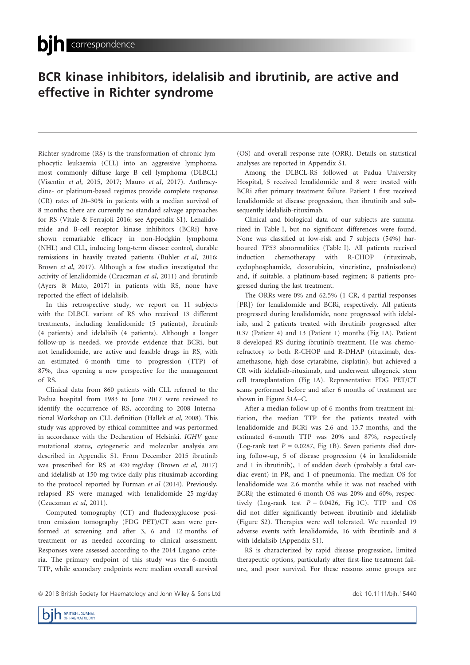# BCR kinase inhibitors, idelalisib and ibrutinib, are active and effective in Richter syndrome

Richter syndrome (RS) is the transformation of chronic lymphocytic leukaemia (CLL) into an aggressive lymphoma, most commonly diffuse large B cell lymphoma (DLBCL) (Visentin et al, 2015, 2017; Mauro et al, 2017). Anthracycline- or platinum-based regimes provide complete response (CR) rates of 20–30% in patients with a median survival of 8 months; there are currently no standard salvage approaches for RS (Vitale & Ferrajoli 2016: see Appendix S1). Lenalidomide and B-cell receptor kinase inhibitors (BCRi) have shown remarkable efficacy in non-Hodgkin lymphoma (NHL) and CLL, inducing long-term disease control, durable remissions in heavily treated patients (Buhler et al, 2016; Brown et al, 2017). Although a few studies investigated the activity of lenalidomide (Czuczman et al, 2011) and ibrutinib (Ayers & Mato, 2017) in patients with RS, none have reported the effect of idelalisib.

In this retrospective study, we report on 11 subjects with the DLBCL variant of RS who received 13 different treatments, including lenalidomide (5 patients), ibrutinib (4 patients) and idelalisib (4 patients). Although a longer follow-up is needed, we provide evidence that BCRi, but not lenalidomide, are active and feasible drugs in RS, with an estimated 6-month time to progression (TTP) of 87%, thus opening a new perspective for the management of RS.

Clinical data from 860 patients with CLL referred to the Padua hospital from 1983 to June 2017 were reviewed to identify the occurrence of RS, according to 2008 International Workshop on CLL definition (Hallek et al, 2008). This study was approved by ethical committee and was performed in accordance with the Declaration of Helsinki. IGHV gene mutational status, cytogenetic and molecular analysis are described in Appendix S1. From December 2015 ibrutinib was prescribed for RS at 420 mg/day (Brown et al, 2017) and idelalisib at 150 mg twice daily plus rituximab according to the protocol reported by Furman et al (2014). Previously, relapsed RS were managed with lenalidomide 25 mg/day (Czuczman et al, 2011).

Computed tomography (CT) and fludeoxyglucose positron emission tomography (FDG PET)/CT scan were performed at screening and after 3, 6 and 12 months of treatment or as needed according to clinical assessment. Responses were assessed according to the 2014 Lugano criteria. The primary endpoint of this study was the 6-month TTP, while secondary endpoints were median overall survival

(OS) and overall response rate (ORR). Details on statistical analyses are reported in Appendix S1.

Among the DLBCL-RS followed at Padua University Hospital, 5 received lenalidomide and 8 were treated with BCRi after primary treatment failure. Patient 1 first received lenalidomide at disease progression, then ibrutinib and subsequently idelalisib-rituximab.

Clinical and biological data of our subjects are summarized in Table I, but no significant differences were found. None was classified at low-risk and 7 subjects (54%) harboured TP53 abnormalities (Table I). All patients received induction chemotherapy with R-CHOP (rituximab, cyclophosphamide, doxorubicin, vincristine, prednisolone) and, if suitable, a platinum-based regimen; 8 patients progressed during the last treatment.

The ORRs were 0% and 62.5% (1 CR, 4 partial responses [PR]) for lenalidomide and BCRi, respectively. All patients progressed during lenalidomide, none progressed with idelalisib, and 2 patients treated with ibrutinib progressed after 0.37 (Patient 4) and 13 (Patient 1) months (Fig 1A). Patient 8 developed RS during ibrutinib treatment. He was chemorefractory to both R-CHOP and R-DHAP (rituximab, dexamethasone, high dose cytarabine, cisplatin), but achieved a CR with idelalisib-rituximab, and underwent allogeneic stem cell transplantation (Fig 1A). Representative FDG PET/CT scans performed before and after 6 months of treatment are shown in Figure S1A–C.

After a median follow-up of 6 months from treatment initiation, the median TTP for the patients treated with lenalidomide and BCRi was 2.6 and 13.7 months, and the estimated 6-month TTP was 20% and 87%, respectively (Log-rank test  $P = 0.0287$ , Fig 1B). Seven patients died during follow-up, 5 of disease progression (4 in lenalidomide and 1 in ibrutinib), 1 of sudden death (probably a fatal cardiac event) in PR, and 1 of pneumonia. The median OS for lenalidomide was 2.6 months while it was not reached with BCRi; the estimated 6-month OS was 20% and 60%, respectively (Log-rank test  $P = 0.0426$ , Fig 1C). TTP and OS did not differ significantly between ibrutinib and idelalisib (Figure S2). Therapies were well tolerated. We recorded 19 adverse events with lenalidomide, 16 with ibrutinib and 8 with idelalisib (Appendix S1).

RS is characterized by rapid disease progression, limited therapeutic options, particularly after first-line treatment failure, and poor survival. For these reasons some groups are

```
ª 2018 British Society for Haematology and John Wiley & Sons Ltd doi: 10.1111/bjh.15440
```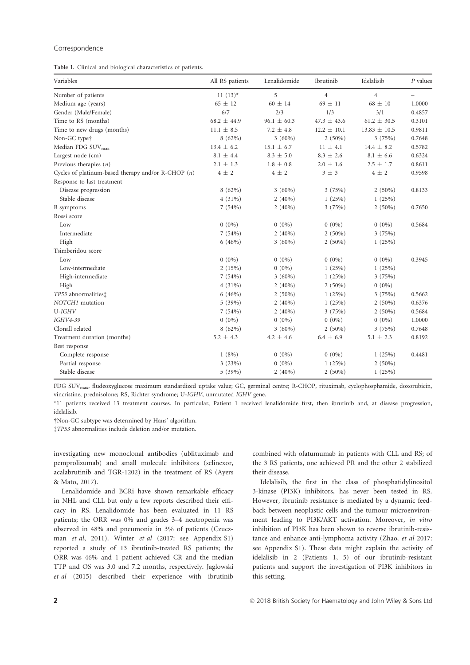#### Correspondence

|  |  |  |  | Table I. Clinical and biological characteristics of patients. |  |  |
|--|--|--|--|---------------------------------------------------------------|--|--|
|--|--|--|--|---------------------------------------------------------------|--|--|

| Variables                                            | All RS patients | Lenalidomide    | Ibrutinib       | Idelalisib       | $P$ values |
|------------------------------------------------------|-----------------|-----------------|-----------------|------------------|------------|
| Number of patients                                   | $11(13)^*$      | 5               | $\overline{4}$  | $\overline{4}$   |            |
| Medium age (years)                                   | $65 \pm 12$     | $60 \pm 14$     | $69 \pm 11$     | $68 \pm 10$      | 1.0000     |
| Gender (Male/Female)                                 | 6/7             | 2/3             | 1/3             | 3/1              | 0.4857     |
| Time to RS (months)                                  | $68.2 \pm 44.9$ | $96.1 \pm 60.3$ | $47.3 \pm 43.6$ | $61.2 \pm 30.5$  | 0.3101     |
| Time to new drugs (months)                           | $11.1 \pm 8.5$  | 7.2 $\pm$ 4.8   | $12.2 \pm 10.1$ | $13.83 \pm 10.5$ | 0.9811     |
| Non-GC type†                                         | 8(62%)          | $3(60\%)$       | $2(50\%)$       | 3(75%)           | 0.7648     |
| Median FDG SUV <sub>max</sub>                        | $13.4 \pm 6.2$  | $15.1 \pm 6.7$  | $11 \pm 4.1$    | $14.4 \pm 8.2$   | 0.5782     |
| Largest node (cm)                                    | $8.1 \pm 4.4$   | $8.3 \pm 5.0$   | $8.3 \pm 2.6$   | $8.1 \pm 6.6$    | 0.6324     |
| Previous therapies $(n)$                             | $2.1 \pm 1.3$   | $1.8 \pm 0.8$   | $2.0 \pm 1.6$   | $2.5 \pm 1.7$    | 0.8611     |
| Cycles of platinum-based therapy and/or R-CHOP $(n)$ | $4 \pm 2$       | $4 \pm 2$       | $3 \pm 3$       | $4 \pm 2$        | 0.9598     |
| Response to last treatment                           |                 |                 |                 |                  |            |
| Disease progression                                  | $8(62\%)$       | $3(60\%)$       | 3(75%)          | $2(50\%)$        | 0.8133     |
| Stable disease                                       | 4(31%)          | $2(40\%)$       | 1(25%)          | 1(25%)           |            |
| <b>B</b> symptoms                                    | 7(54%)          | $2(40\%)$       | 3(75%)          | $2(50\%)$        | 0.7650     |
| Rossi score                                          |                 |                 |                 |                  |            |
| Low                                                  | $0(0\%)$        | $0(0\%)$        | $0(0\%)$        | $0(0\%)$         | 0.5684     |
| Intermediate                                         | 7(54%)          | 2(40%)          | $2(50\%)$       | 3(75%)           |            |
| High                                                 | 6(46%)          | $3(60\%)$       | $2(50\%)$       | 1(25%)           |            |
| Tsimberidou score                                    |                 |                 |                 |                  |            |
| Low                                                  | $0(0\%)$        | $0(0\%)$        | $0(0\%)$        | $0(0\%)$         | 0.3945     |
| Low-intermediate                                     | 2(15%)          | $0(0\%)$        | 1(25%)          | 1(25%)           |            |
| High-intermediate                                    | 7(54%)          | $3(60\%)$       | 1(25%)          | 3(75%)           |            |
| High                                                 | 4(31%)          | $2(40\%)$       | $2(50\%)$       | $0(0\%)$         |            |
| TP53 abnormalities:                                  | 6(46%)          | $2(50\%)$       | 1(25%)          | 3(75%)           | 0.5662     |
| NOTCH1 mutation                                      | 5(39%)          | 2(40%)          | 1(25%)          | $2(50\%)$        | 0.6376     |
| U-IGHV                                               | 7(54%)          | $2(40\%)$       | 3(75%)          | $2(50\%)$        | 0.5684     |
| IGHV4-39                                             | $0(0\%)$        | $0(0\%)$        | $0(0\%)$        | $0(0\%)$         | 1.0000     |
| Clonall related                                      | $8(62\%)$       | $3(60\%)$       | $2(50\%)$       | 3(75%)           | 0.7648     |
| Treatment duration (months)                          | 5.2 $\pm$ 4.3   | $4.2 \pm 4.6$   | $6.4 \pm 6.9$   | $5.1 \pm 2.3$    | 0.8192     |
| Best response                                        |                 |                 |                 |                  |            |
| Complete response                                    | 1(8%)           | $0(0\%)$        | $0(0\%)$        | 1(25%)           | 0.4481     |
| Partial response                                     | 3(23%)          | $0(0\%)$        | 1(25%)          | $2(50\%)$        |            |
| Stable disease                                       | 5(39%)          | 2(40%)          | $2(50\%)$       | 1(25%)           |            |

FDG SUVmax, fludeoxyglucose maximum standardized uptake value; GC, germinal centre; R-CHOP, rituximab, cyclophosphamide, doxorubicin, vincristine, prednisolone; RS, Richter syndrome; U-IGHV, unmutated IGHV gene.

\*11 patients received 13 treatment courses. In particular, Patient 1 received lenalidomide first, then ibrutinib and, at disease progression, idelalisib.

†Non-GC subtype was determined by Hans' algorithm.

‡TP53 abnormalities include deletion and/or mutation.

investigating new monoclonal antibodies (ublituximab and pemprolizumab) and small molecule inhibitors (selinexor, acalabrutinib and TGR-1202) in the treatment of RS (Ayers & Mato, 2017).

Lenalidomide and BCRi have shown remarkable efficacy in NHL and CLL but only a few reports described their efficacy in RS. Lenalidomide has been evaluated in 11 RS patients; the ORR was 0% and grades 3–4 neutropenia was observed in 48% and pneumonia in 3% of patients (Czuczman et al, 2011). Winter et al (2017: see Appendix S1) reported a study of 13 ibrutinib-treated RS patients; the ORR was 46% and 1 patient achieved CR and the median TTP and OS was 3.0 and 7.2 months, respectively. Jaglowski et al (2015) described their experience with ibrutinib combined with ofatumumab in patients with CLL and RS; of the 3 RS patients, one achieved PR and the other 2 stabilized their disease.

Idelalisib, the first in the class of phosphatidylinositol 3-kinase (PI3K) inhibitors, has never been tested in RS. However, ibrutinib resistance is mediated by a dynamic feedback between neoplastic cells and the tumour microenvironment leading to PI3K/AKT activation. Moreover, in vitro inhibition of PI3K has been shown to reverse ibrutinib-resistance and enhance anti-lymphoma activity (Zhao, et al 2017: see Appendix S1). These data might explain the activity of idelalisib in 2 (Patients 1, 5) of our ibrutinib-resistant patients and support the investigation of PI3K inhibitors in this setting.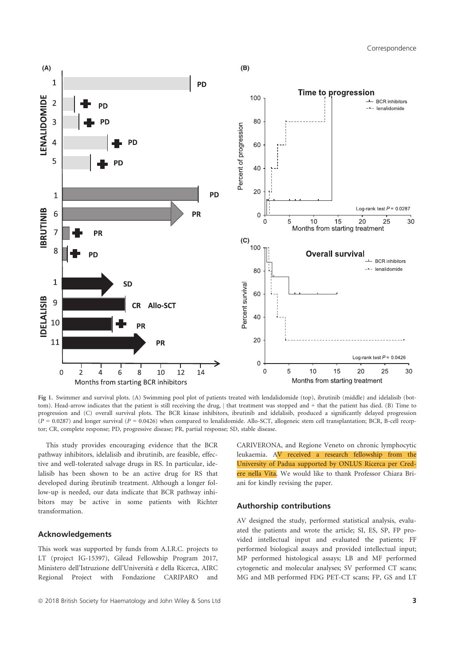



Fig 1. Swimmer and survival plots. (A) Swimming pool plot of patients treated with lendalidomide (top), ibrutinib (middle) and idelalisib (bottom). Head-arrow indicates that the patient is still receiving the drug, | that treatment was stopped and + that the patient has died. (B) Time to progression and (C) overall survival plots. The BCR kinase inhibitors, ibrutinib and idelalisib, produced a significantly delayed progression  $(P = 0.0287)$  and longer survival  $(P = 0.0426)$  when compared to lenalidomide. Allo-SCT, allogeneic stem cell transplantation; BCR, B-cell receptor; CR, complete response; PD, progressive disease; PR, partial response; SD, stable disease.

This study provides encouraging evidence that the BCR pathway inhibitors, idelalisib and ibrutinib, are feasible, effective and well-tolerated salvage drugs in RS. In particular, idelalisib has been shown to be an active drug for RS that developed during ibrutinib treatment. Although a longer follow-up is needed, our data indicate that BCR pathway inhibitors may be active in some patients with Richter transformation.

## Acknowledgements

This work was supported by funds from A.I.R.C. projects to LT (project IG-15397), Gilead Fellowship Program 2017, Ministero dell'Istruzione dell'Università e della Ricerca, AIRC Regional Project with Fondazione CARIPARO and

CARIVERONA, and Regione Veneto on chronic lymphocytic leukaemia. AV received a research fellowship from the University of Padua supported by ONLUS Ricerca per Credere nella Vita. We would like to thank Professor Chiara Briani for kindly revising the paper.

## Authorship contributions

AV designed the study, performed statistical analysis, evaluated the patients and wrote the article; SI, ES, SP, FP provided intellectual input and evaluated the patients; FF performed biological assays and provided intellectual input; MP performed histological assays; LB and MF performed cytogenetic and molecular analyses; SV performed CT scans; MG and MB performed FDG PET-CT scans; FP, GS and LT